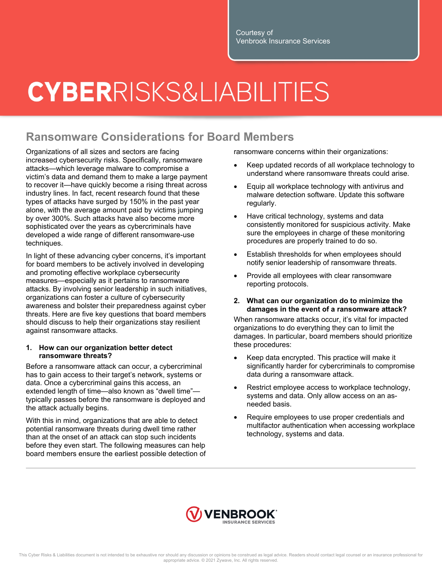Courtesy of Venbrook Insurance Services

## **CYBER**RISKS&LIABILITIES

### **Ransomware Considerations for Board Members**

Organizations of all sizes and sectors are facing increased cybersecurity risks. Specifically, ransomware attacks—which leverage malware to compromise a victim's data and demand them to make a large payment to recover it—have quickly become a rising threat across industry lines. In fact, recent research found that these types of attacks have surged by 150% in the past year alone, with the average amount paid by victims jumping by over 300%. Such attacks have also become more sophisticated over the years as cybercriminals have developed a wide range of different ransomware-use techniques.

In light of these advancing cyber concerns, it's important for board members to be actively involved in developing and promoting effective workplace cybersecurity measures—especially as it pertains to ransomware attacks. By involving senior leadership in such initiatives, organizations can foster a culture of cybersecurity awareness and bolster their preparedness against cyber threats. Here are five key questions that board members should discuss to help their organizations stay resilient against ransomware attacks.

#### **1. How can our organization better detect ransomware threats?**

Before a ransomware attack can occur, a cybercriminal has to gain access to their target's network, systems or data. Once a cybercriminal gains this access, an extended length of time—also known as "dwell time" typically passes before the ransomware is deployed and the attack actually begins.

With this in mind, organizations that are able to detect potential ransomware threats during dwell time rather than at the onset of an attack can stop such incidents before they even start. The following measures can help board members ensure the earliest possible detection of ransomware concerns within their organizations:

- Keep updated records of all workplace technology to understand where ransomware threats could arise.
- Equip all workplace technology with antivirus and malware detection software. Update this software regularly.
- Have critical technology, systems and data consistently monitored for suspicious activity. Make sure the employees in charge of these monitoring procedures are properly trained to do so.
- Establish thresholds for when employees should notify senior leadership of ransomware threats.
- Provide all employees with clear ransomware reporting protocols.
- **2. What can our organization do to minimize the damages in the event of a ransomware attack?**

When ransomware attacks occur, it's vital for impacted organizations to do everything they can to limit the damages. In particular, board members should prioritize these procedures:

- Keep data encrypted. This practice will make it significantly harder for cybercriminals to compromise data during a ransomware attack.
- Restrict employee access to workplace technology, systems and data. Only allow access on an asneeded basis.
- Require employees to use proper credentials and multifactor authentication when accessing workplace technology, systems and data.